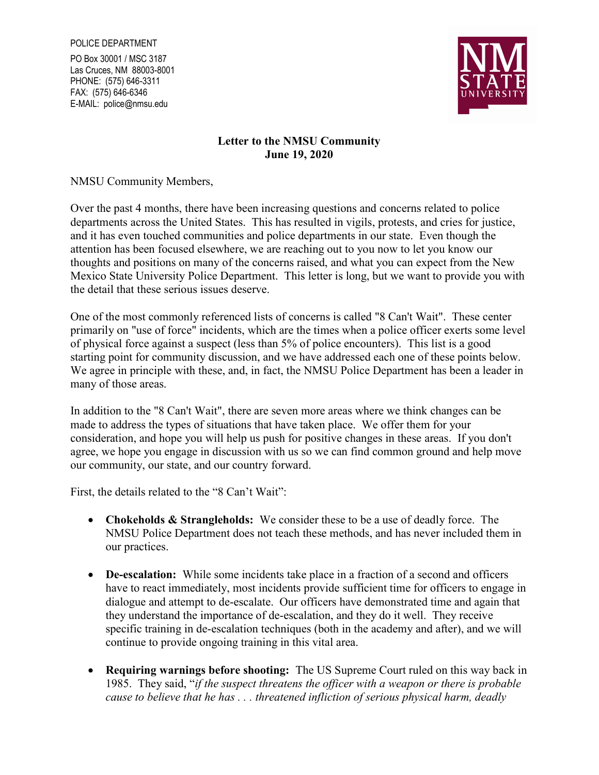PO Box 30001 / MSC 3187 Las Cruces, NM 88003-8001 PHONE: (575) 646-3311 FAX: (575) 646-6346 E-MAIL: police@nmsu.edu



## Letter to the NMSU Community June 19, 2020

NMSU Community Members,

Over the past 4 months, there have been increasing questions and concerns related to police departments across the United States. This has resulted in vigils, protests, and cries for justice, and it has even touched communities and police departments in our state. Even though the attention has been focused elsewhere, we are reaching out to you now to let you know our thoughts and positions on many of the concerns raised, and what you can expect from the New Mexico State University Police Department. This letter is long, but we want to provide you with the detail that these serious issues deserve.

One of the most commonly referenced lists of concerns is called "8 Can't Wait". These center primarily on "use of force" incidents, which are the times when a police officer exerts some level of physical force against a suspect (less than 5% of police encounters). This list is a good starting point for community discussion, and we have addressed each one of these points below. We agree in principle with these, and, in fact, the NMSU Police Department has been a leader in many of those areas.

In addition to the "8 Can't Wait", there are seven more areas where we think changes can be made to address the types of situations that have taken place. We offer them for your consideration, and hope you will help us push for positive changes in these areas. If you don't agree, we hope you engage in discussion with us so we can find common ground and help move our community, our state, and our country forward.

First, the details related to the "8 Can't Wait":

- Chokeholds & Strangleholds: We consider these to be a use of deadly force. The NMSU Police Department does not teach these methods, and has never included them in our practices.
- De-escalation: While some incidents take place in a fraction of a second and officers have to react immediately, most incidents provide sufficient time for officers to engage in dialogue and attempt to de-escalate. Our officers have demonstrated time and again that they understand the importance of de-escalation, and they do it well. They receive specific training in de-escalation techniques (both in the academy and after), and we will continue to provide ongoing training in this vital area.
- Requiring warnings before shooting: The US Supreme Court ruled on this way back in 1985. They said, "if the suspect threatens the officer with a weapon or there is probable cause to believe that he has . . . threatened infliction of serious physical harm, deadly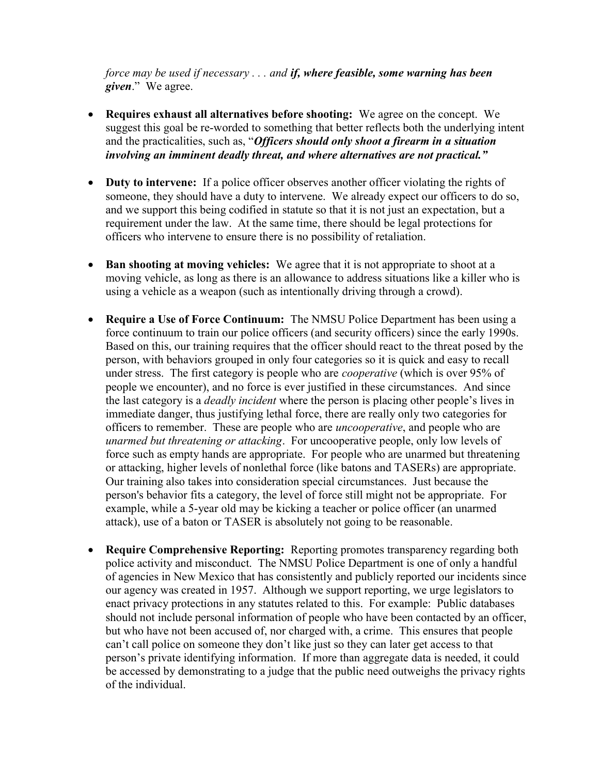force may be used if necessary . . . and if, where feasible, some warning has been given." We agree.

- Requires exhaust all alternatives before shooting: We agree on the concept. We suggest this goal be re-worded to something that better reflects both the underlying intent and the practicalities, such as, "Officers should only shoot a firearm in a situation involving an imminent deadly threat, and where alternatives are not practical."
- Duty to intervene: If a police officer observes another officer violating the rights of someone, they should have a duty to intervene. We already expect our officers to do so, and we support this being codified in statute so that it is not just an expectation, but a requirement under the law. At the same time, there should be legal protections for officers who intervene to ensure there is no possibility of retaliation.
- Ban shooting at moving vehicles: We agree that it is not appropriate to shoot at a moving vehicle, as long as there is an allowance to address situations like a killer who is using a vehicle as a weapon (such as intentionally driving through a crowd).
- Require a Use of Force Continuum: The NMSU Police Department has been using a force continuum to train our police officers (and security officers) since the early 1990s. Based on this, our training requires that the officer should react to the threat posed by the person, with behaviors grouped in only four categories so it is quick and easy to recall under stress. The first category is people who are *cooperative* (which is over 95% of people we encounter), and no force is ever justified in these circumstances. And since the last category is a *deadly incident* where the person is placing other people's lives in immediate danger, thus justifying lethal force, there are really only two categories for officers to remember. These are people who are *uncooperative*, and people who are unarmed but threatening or attacking. For uncooperative people, only low levels of force such as empty hands are appropriate. For people who are unarmed but threatening or attacking, higher levels of nonlethal force (like batons and TASERs) are appropriate. Our training also takes into consideration special circumstances. Just because the person's behavior fits a category, the level of force still might not be appropriate. For example, while a 5-year old may be kicking a teacher or police officer (an unarmed attack), use of a baton or TASER is absolutely not going to be reasonable.
- Require Comprehensive Reporting: Reporting promotes transparency regarding both police activity and misconduct. The NMSU Police Department is one of only a handful of agencies in New Mexico that has consistently and publicly reported our incidents since our agency was created in 1957. Although we support reporting, we urge legislators to enact privacy protections in any statutes related to this. For example: Public databases should not include personal information of people who have been contacted by an officer, but who have not been accused of, nor charged with, a crime. This ensures that people can't call police on someone they don't like just so they can later get access to that person's private identifying information. If more than aggregate data is needed, it could be accessed by demonstrating to a judge that the public need outweighs the privacy rights of the individual.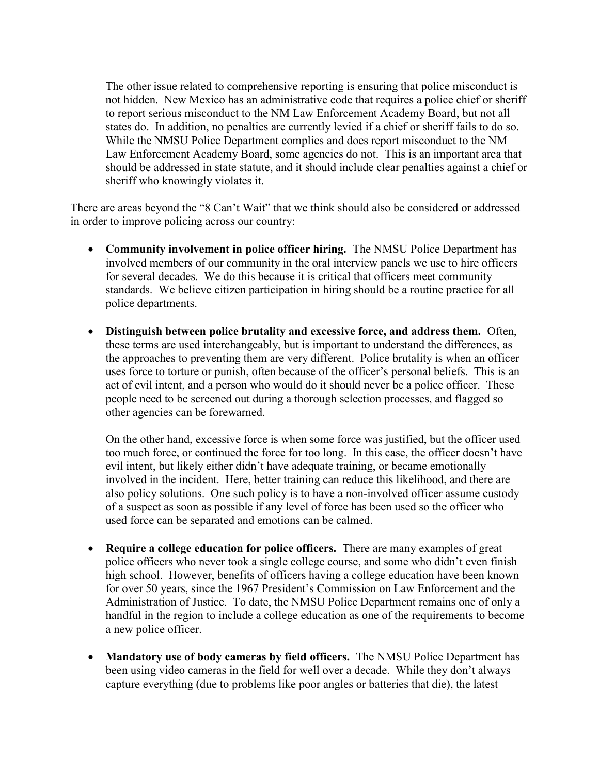The other issue related to comprehensive reporting is ensuring that police misconduct is not hidden. New Mexico has an administrative code that requires a police chief or sheriff to report serious misconduct to the NM Law Enforcement Academy Board, but not all states do. In addition, no penalties are currently levied if a chief or sheriff fails to do so. While the NMSU Police Department complies and does report misconduct to the NM Law Enforcement Academy Board, some agencies do not. This is an important area that should be addressed in state statute, and it should include clear penalties against a chief or sheriff who knowingly violates it.

There are areas beyond the "8 Can't Wait" that we think should also be considered or addressed in order to improve policing across our country:

- Community involvement in police officer hiring. The NMSU Police Department has involved members of our community in the oral interview panels we use to hire officers for several decades. We do this because it is critical that officers meet community standards. We believe citizen participation in hiring should be a routine practice for all police departments.
- Distinguish between police brutality and excessive force, and address them. Often, these terms are used interchangeably, but is important to understand the differences, as the approaches to preventing them are very different. Police brutality is when an officer uses force to torture or punish, often because of the officer's personal beliefs. This is an act of evil intent, and a person who would do it should never be a police officer. These people need to be screened out during a thorough selection processes, and flagged so other agencies can be forewarned.

On the other hand, excessive force is when some force was justified, but the officer used too much force, or continued the force for too long. In this case, the officer doesn't have evil intent, but likely either didn't have adequate training, or became emotionally involved in the incident. Here, better training can reduce this likelihood, and there are also policy solutions. One such policy is to have a non-involved officer assume custody of a suspect as soon as possible if any level of force has been used so the officer who used force can be separated and emotions can be calmed.

- Require a college education for police officers. There are many examples of great police officers who never took a single college course, and some who didn't even finish high school. However, benefits of officers having a college education have been known for over 50 years, since the 1967 President's Commission on Law Enforcement and the Administration of Justice. To date, the NMSU Police Department remains one of only a handful in the region to include a college education as one of the requirements to become a new police officer.
- Mandatory use of body cameras by field officers. The NMSU Police Department has been using video cameras in the field for well over a decade. While they don't always capture everything (due to problems like poor angles or batteries that die), the latest